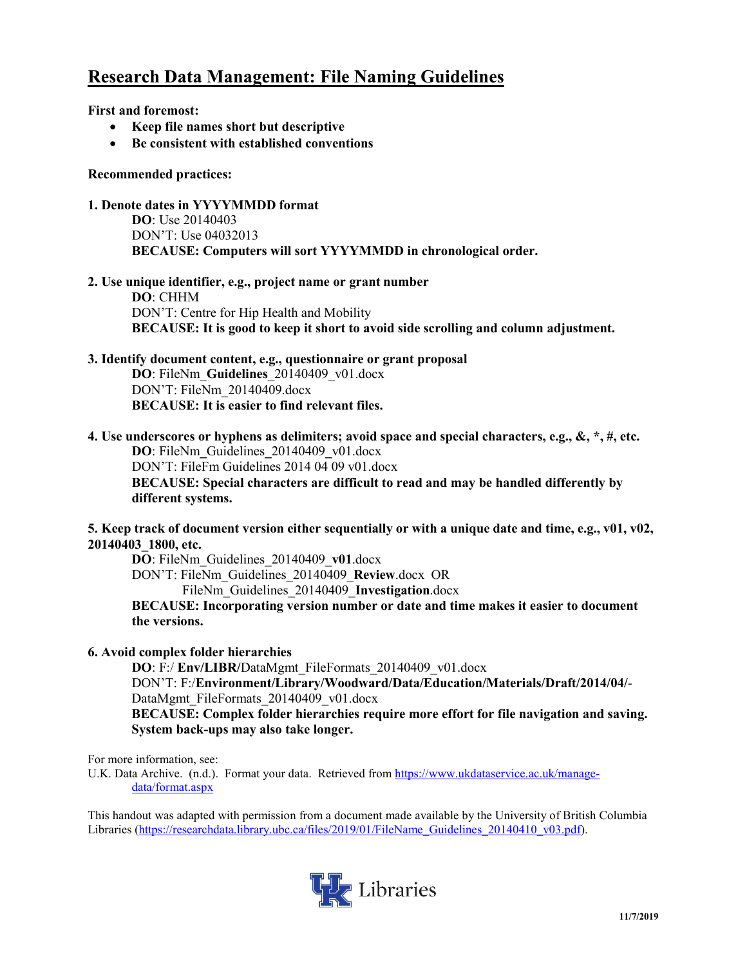## **Research Data Management: File Naming Guidelines**

**First and foremost:**

- **Keep file names short but descriptive**
- **Be consistent with established conventions**

#### **Recommended practices:**

- **1. Denote dates in YYYYMMDD format DO**: Use 20140403 DON'T: Use 04032013 **BECAUSE: Computers will sort YYYYMMDD in chronological order.**
- **2. Use unique identifier, e.g., project name or grant number DO**: CHHM DON'T: Centre for Hip Health and Mobility **BECAUSE: It is good to keep it short to avoid side scrolling and column adjustment.**

## **3. Identify document content, e.g., questionnaire or grant proposal**

**DO**: FileNm\_**Guidelines**\_20140409\_v01.docx DON'T: FileNm\_20140409.docx **BECAUSE: It is easier to find relevant files.**

**4. Use underscores or hyphens as delimiters; avoid space and special characters, e.g., &, \*, #, etc. DO**: FileNm**\_**Guidelines**\_**20140409**\_**v01.docx DON'T: FileFm Guidelines 2014 04 09 v01.docx **BECAUSE: Special characters are difficult to read and may be handled differently by different systems.**

**5. Keep track of document version either sequentially or with a unique date and time, e.g., v01, v02, 20140403\_1800, etc.**

**DO**: FileNm\_Guidelines\_20140409\_**v01**.docx

DON'T: FileNm\_Guidelines\_20140409\_**Review**.docx OR

FileNm\_Guidelines\_20140409\_**Investigation**.docx

**BECAUSE: Incorporating version number or date and time makes it easier to document the versions.** 

#### **6. Avoid complex folder hierarchies**

**DO**: F:/ **Env/LIBR/**DataMgmt\_FileFormats\_20140409\_v01.docx DON'T: F:/**Environment/Library/Woodward/Data/Education/Materials/Draft/2014/04/**- DataMgmt\_FileFormats\_20140409\_v01.docx

**BECAUSE: Complex folder hierarchies require more effort for file navigation and saving. System back-ups may also take longer.**

For more information, see:

U.K. Data Archive. (n.d.). Format your data. Retrieved from [https://www.ukdataservice.ac.uk/manage](https://www.ukdataservice.ac.uk/manage-data/format.aspx)[data/format.aspx](https://www.ukdataservice.ac.uk/manage-data/format.aspx)

This handout was adapted with permission from a document made available by the University of British Columbia Libraries [\(https://researchdata.library.ubc.ca/files/2019/01/FileName\\_Guidelines\\_20140410\\_v03.pdf\)](https://researchdata.library.ubc.ca/files/2019/01/FileName_Guidelines_20140410_v03.pdf).